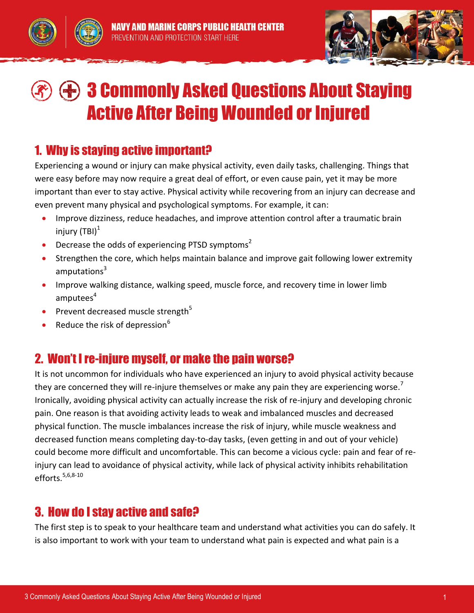



# 3 Commonly Asked Questions About Staying Active After Being Wounded or Injured

#### 1. Why is staying active important?

Experiencing a wound or injury can make physical activity, even daily tasks, challenging. Things that were easy before may now require a great deal of effort, or even cause pain, yet it may be more important than ever to stay active. Physical activity while recovering from an injury can decrease and even prevent many physical and psychological symptoms. For example, it can:

- Improve dizziness, reduce headaches, and improve attention control after a traumatic brain injury  $(TBI)^1$
- Decrease the odds of experiencing PTSD symptoms<sup>2</sup>
- Strengthen the core, which helps maintain balance and improve gait following lower extremity amputations<sup>3</sup>
- Improve walking distance, walking speed, muscle force, and recovery time in lower limb amputees<sup>4</sup>
- Prevent decreased muscle strength<sup>5</sup>
- Reduce the risk of depression $6$

## 2. Won't I re-injure myself, or make the pain worse?

It is not uncommon for individuals who have experienced an injury to avoid physical activity because they are concerned they will re-injure themselves or make any pain they are experiencing worse. $'$ Ironically, avoiding physical activity can actually increase the risk of re-injury and developing chronic pain. One reason is that avoiding activity leads to weak and imbalanced muscles and decreased physical function. The muscle imbalances increase the risk of injury, while muscle weakness and decreased function means completing day-to-day tasks, (even getting in and out of your vehicle) could become more difficult and uncomfortable. This can become a vicious cycle: pain and fear of reinjury can lead to avoidance of physical activity, while lack of physical activity inhibits rehabilitation efforts. $5,6,8-10$ 

## 3. How do I stay active and safe?

The first step is to speak to your healthcare team and understand what activities you can do safely. It is also important to work with your team to understand what pain is expected and what pain is a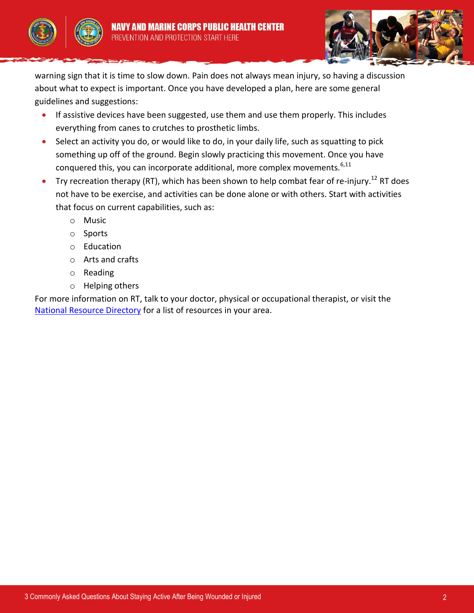



warning sign that it is time to slow down. Pain does not always mean injury, so having a discussion about what to expect is important. Once you have developed a plan, here are some general guidelines and suggestions:

- **If assistive devices have been suggested, use them and use them properly. This includes** everything from canes to crutches to prosthetic limbs.
- Select an activity you do, or would like to do, in your daily life, such as squatting to pick something up off of the ground. Begin slowly practicing this movement. Once you have conquered this, you can incorporate additional, more complex movements.<sup>6,11</sup>
- Try recreation therapy (RT), which has been shown to help combat fear of re-injury.<sup>12</sup> RT does not have to be exercise, and activities can be done alone or with others. Start with activities that focus on current capabilities, such as:
	- o Music
	- o Sports
	- o Education
	- o Arts and crafts
	- o Reading
	- o Helping others

For more information on RT, talk to your doctor, physical or occupational therapist, or visit the [National Resource Directory](https://www.ebenefits.va.gov/ebenefits/nrd/nrd-results#/search?searchtype=keyword&keyword=recreation%20therapy&location=&radius=&territory=&topic=&matchAll=true) for a list of resources in your area.